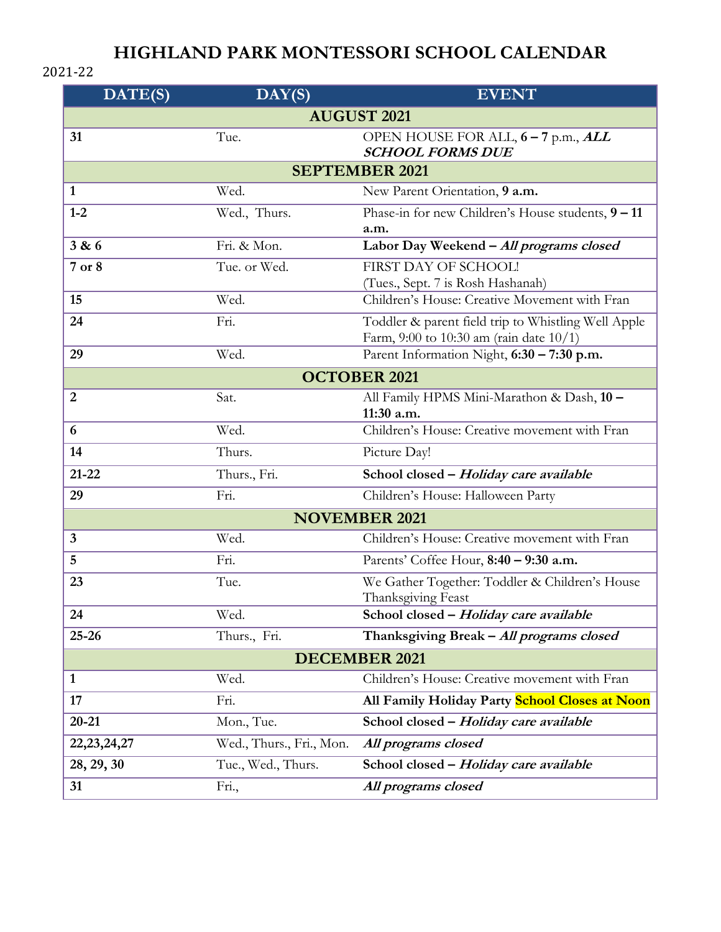## **HIGHLAND PARK MONTESSORI SCHOOL CALENDAR**

## 2021-22

| DATE(S)               | DAY(S)                   | <b>EVENT</b>                                                                                      |
|-----------------------|--------------------------|---------------------------------------------------------------------------------------------------|
| <b>AUGUST 2021</b>    |                          |                                                                                                   |
| 31                    | Tue.                     | OPEN HOUSE FOR ALL, 6 - 7 p.m., ALL<br><b>SCHOOL FORMS DUE</b>                                    |
| <b>SEPTEMBER 2021</b> |                          |                                                                                                   |
| $\mathbf{1}$          | Wed.                     | New Parent Orientation, 9 a.m.                                                                    |
| $1-2$                 | Wed., Thurs.             | Phase-in for new Children's House students, 9 - 11<br>a.m.                                        |
| 3 & 6                 | Fri. & Mon.              | Labor Day Weekend - All programs closed                                                           |
| $7$ or $8$            | Tue. or Wed.             | FIRST DAY OF SCHOOL!<br>(Tues., Sept. 7 is Rosh Hashanah)                                         |
| 15                    | Wed.                     | Children's House: Creative Movement with Fran                                                     |
| 24                    | Fri.                     | Toddler & parent field trip to Whistling Well Apple<br>Farm, 9:00 to 10:30 am (rain date $10/1$ ) |
| 29                    | Wed.                     | Parent Information Night, 6:30 - 7:30 p.m.                                                        |
| <b>OCTOBER 2021</b>   |                          |                                                                                                   |
| $\overline{2}$        | Sat.                     | All Family HPMS Mini-Marathon & Dash, 10 -<br>11:30 a.m.                                          |
| 6                     | Wed.                     | Children's House: Creative movement with Fran                                                     |
| 14                    | Thurs.                   | Picture Day!                                                                                      |
| $21 - 22$             | Thurs., Fri.             | School closed - Holiday care available                                                            |
| 29                    | Fri.                     | Children's House: Halloween Party                                                                 |
| <b>NOVEMBER 2021</b>  |                          |                                                                                                   |
| $\mathbf{3}$          | Wed.                     | Children's House: Creative movement with Fran                                                     |
| 5                     | Fri.                     | Parents' Coffee Hour, 8:40 - 9:30 a.m.                                                            |
| 23                    | Tue.                     | We Gather Together: Toddler & Children's House<br>Thanksgiving Feast                              |
| 24                    | Wed.                     | School closed - Holiday care available                                                            |
| $25 - 26$             | Thurs., Fri.             | Thanksgiving Break - All programs closed                                                          |
| <b>DECEMBER 2021</b>  |                          |                                                                                                   |
| $\mathbf{1}$          | Wed.                     | Children's House: Creative movement with Fran                                                     |
| 17                    | Fri.                     | All Family Holiday Party School Closes at Noon                                                    |
| $20 - 21$             | Mon., Tue.               | School closed - Holiday care available                                                            |
| 22, 23, 24, 27        | Wed., Thurs., Fri., Mon. | All programs closed                                                                               |
| 28, 29, 30            | Tue., Wed., Thurs.       | School closed - Holiday care available                                                            |
| 31                    | Fri.,                    | All programs closed                                                                               |